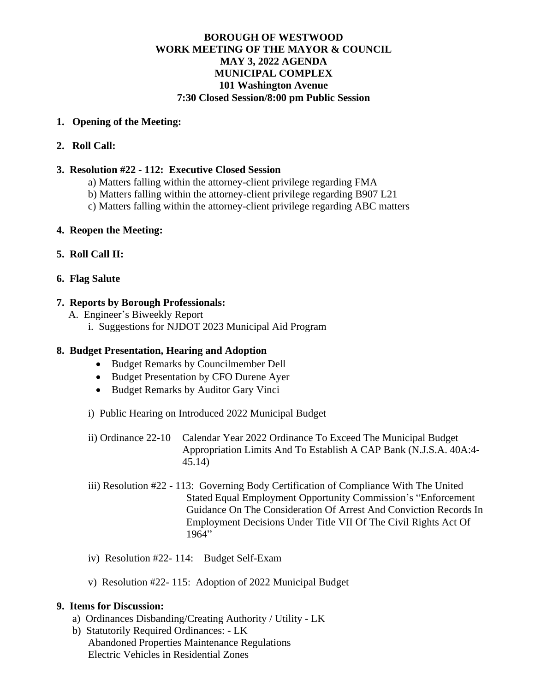## **BOROUGH OF WESTWOOD WORK MEETING OF THE MAYOR & COUNCIL MAY 3, 2022 AGENDA MUNICIPAL COMPLEX 101 Washington Avenue 7:30 Closed Session/8:00 pm Public Session**

#### **1. Opening of the Meeting:**

## **2. Roll Call:**

#### **3. Resolution #22 - 112: Executive Closed Session**

- a) Matters falling within the attorney-client privilege regarding FMA
- b) Matters falling within the attorney-client privilege regarding B907 L21
- c) Matters falling within the attorney-client privilege regarding ABC matters

## **4. Reopen the Meeting:**

## **5. Roll Call II:**

## **6. Flag Salute**

## **7. Reports by Borough Professionals:**

- A. Engineer's Biweekly Report
	- i. Suggestions for NJDOT 2023 Municipal Aid Program

# **8. Budget Presentation, Hearing and Adoption**

- Budget Remarks by Councilmember Dell
- Budget Presentation by CFO Durene Ayer
- Budget Remarks by Auditor Gary Vinci
- i) Public Hearing on Introduced 2022 Municipal Budget
- ii) Ordinance 22-10 Calendar Year 2022 Ordinance To Exceed The Municipal Budget Appropriation Limits And To Establish A CAP Bank (N.J.S.A. 40A:4- 45.14)
- iii) Resolution #22 113: Governing Body Certification of Compliance With The United Stated Equal Employment Opportunity Commission's "Enforcement Guidance On The Consideration Of Arrest And Conviction Records In Employment Decisions Under Title VII Of The Civil Rights Act Of 1964"
- iv) Resolution #22- 114: Budget Self-Exam
- v) Resolution #22- 115: Adoption of 2022 Municipal Budget

#### **9. Items for Discussion:**

- a) Ordinances Disbanding/Creating Authority / Utility LK
- b) Statutorily Required Ordinances: LK Abandoned Properties Maintenance Regulations Electric Vehicles in Residential Zones